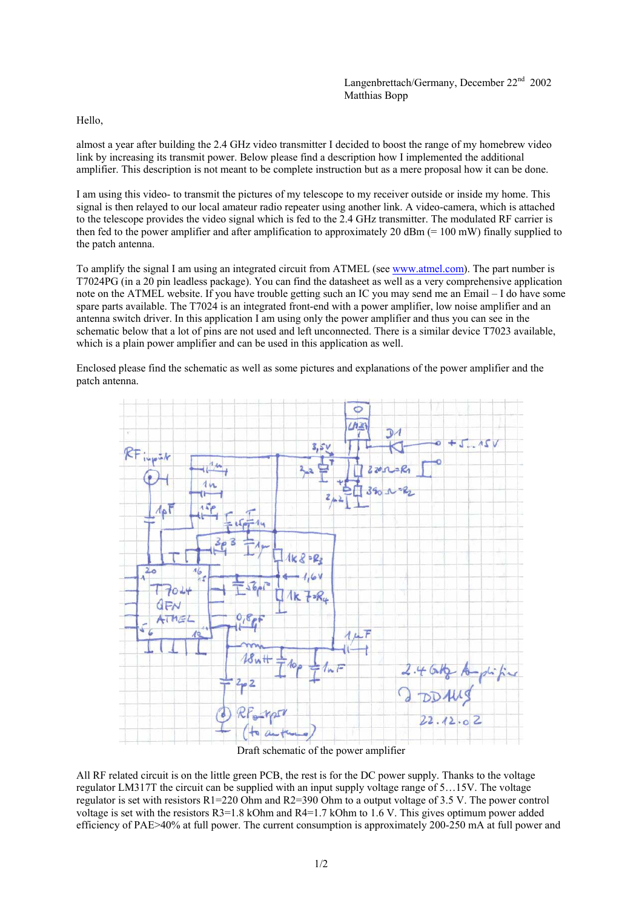Hello,

almost a year after building the 2.4 GHz video transmitter I decided to boost the range of my homebrew video link by increasing its transmit power. Below please find a description how I implemented the additional amplifier. This description is not meant to be complete instruction but as a mere proposal how it can be done.

I am using this video- to transmit the pictures of my telescope to my receiver outside or inside my home. This signal is then relayed to our local amateur radio repeater using another link. A video-camera, which is attached to the telescope provides the video signal which is fed to the 2.4 GHz transmitter. The modulated RF carrier is then fed to the power amplifier and after amplification to approximately 20 dBm (= 100 mW) finally supplied to the patch antenna.

To amplify the signal I am using an integrated circuit from ATMEL (see www.atmel.com). The part number is T7024PG (in a 20 pin leadless package). You can find the datasheet as well as a very comprehensive application note on the ATMEL website. If you have trouble getting such an IC you may send me an Email – I do have some spare parts available. The T7024 is an integrated front-end with a power amplifier, low noise amplifier and an antenna switch driver. In this application I am using only the power amplifier and thus you can see in the schematic below that a lot of pins are not used and left unconnected. There is a similar device T7023 available, which is a plain power amplifier and can be used in this application as well.

Enclosed please find the schematic as well as some pictures and explanations of the power amplifier and the patch antenna.



Draft schematic of the power amplifier

All RF related circuit is on the little green PCB, the rest is for the DC power supply. Thanks to the voltage regulator LM317T the circuit can be supplied with an input supply voltage range of 5…15V. The voltage regulator is set with resistors R1=220 Ohm and R2=390 Ohm to a output voltage of 3.5 V. The power control voltage is set with the resistors R3=1.8 kOhm and R4=1.7 kOhm to 1.6 V. This gives optimum power added efficiency of PAE>40% at full power. The current consumption is approximately 200-250 mA at full power and